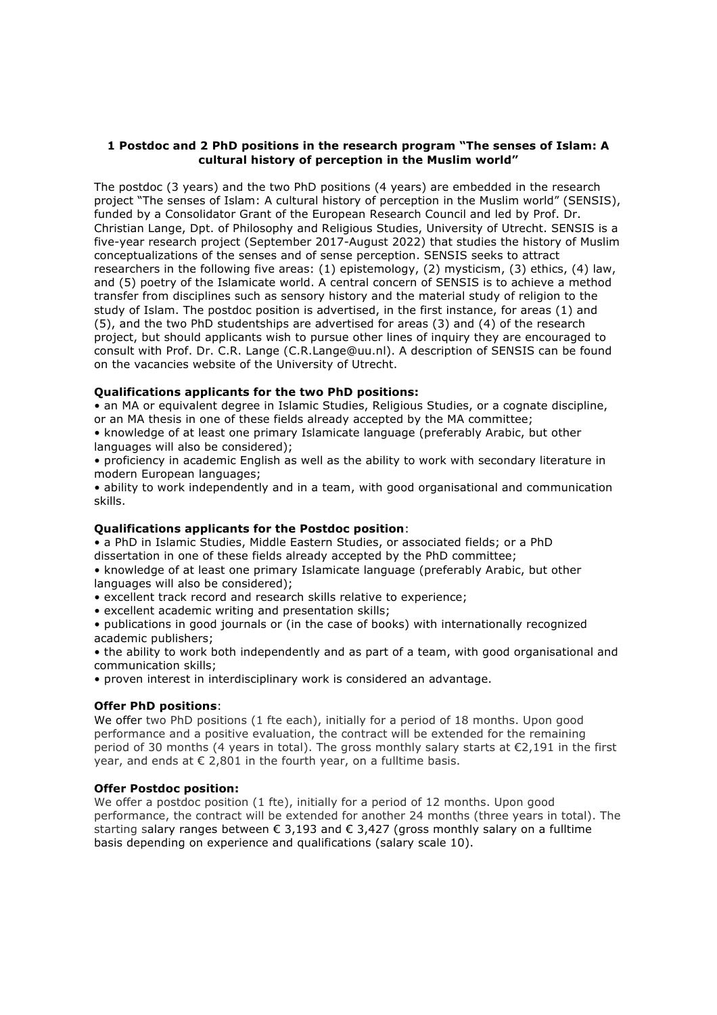## **1 Postdoc and 2 PhD positions in the research program "The senses of Islam: A cultural history of perception in the Muslim world"**

The postdoc (3 years) and the two PhD positions (4 years) are embedded in the research project "The senses of Islam: A cultural history of perception in the Muslim world" (SENSIS), funded by a Consolidator Grant of the European Research Council and led by Prof. Dr. Christian Lange, Dpt. of Philosophy and Religious Studies, University of Utrecht. SENSIS is a five-year research project (September 2017-August 2022) that studies the history of Muslim conceptualizations of the senses and of sense perception. SENSIS seeks to attract researchers in the following five areas: (1) epistemology, (2) mysticism, (3) ethics, (4) law, and (5) poetry of the Islamicate world. A central concern of SENSIS is to achieve a method transfer from disciplines such as sensory history and the material study of religion to the study of Islam. The postdoc position is advertised, in the first instance, for areas (1) and (5), and the two PhD studentships are advertised for areas (3) and (4) of the research project, but should applicants wish to pursue other lines of inquiry they are encouraged to consult with Prof. Dr. C.R. Lange (C.R.Lange@uu.nl). A description of SENSIS can be found on the vacancies website of the University of Utrecht.

# **Qualifications applicants for the two PhD positions:**

• an MA or equivalent degree in Islamic Studies, Religious Studies, or a cognate discipline, or an MA thesis in one of these fields already accepted by the MA committee;

• knowledge of at least one primary Islamicate language (preferably Arabic, but other languages will also be considered);

• proficiency in academic English as well as the ability to work with secondary literature in modern European languages;

• ability to work independently and in a team, with good organisational and communication skills.

#### **Qualifications applicants for the Postdoc position**:

• a PhD in Islamic Studies, Middle Eastern Studies, or associated fields; or a PhD dissertation in one of these fields already accepted by the PhD committee;

- knowledge of at least one primary Islamicate language (preferably Arabic, but other languages will also be considered);
- excellent track record and research skills relative to experience;
- excellent academic writing and presentation skills;

• publications in good journals or (in the case of books) with internationally recognized academic publishers;

• the ability to work both independently and as part of a team, with good organisational and communication skills;

• proven interest in interdisciplinary work is considered an advantage.

#### **Offer PhD positions**:

We offer two PhD positions (1 fte each), initially for a period of 18 months. Upon good performance and a positive evaluation, the contract will be extended for the remaining period of 30 months (4 years in total). The gross monthly salary starts at  $\epsilon$ 2,191 in the first year, and ends at  $\epsilon$  2,801 in the fourth year, on a fulltime basis.

## **Offer Postdoc position:**

We offer a postdoc position (1 fte), initially for a period of 12 months. Upon good performance, the contract will be extended for another 24 months (three years in total). The starting salary ranges between  $\epsilon$  3,193 and  $\epsilon$  3,427 (gross monthly salary on a fulltime basis depending on experience and qualifications (salary scale 10).